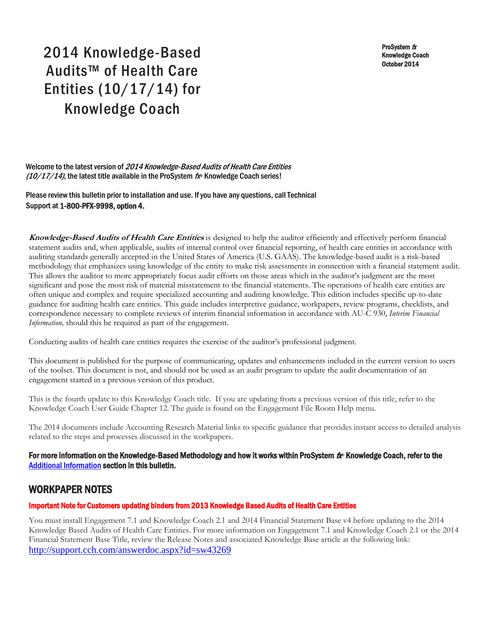ProSystem  $f_X$ Knowledge Coach October 2014

# 2014 Knowledge-Based Audits™ of Health Care Entities (10/17/14) for Knowledge Coach

Welcome to the latest version of 2014 Knowledge-Based Audits of Health Care Entities  $(10/17/14)$ , the latest title available in the ProSystem  $f_{\text{R}}$  Knowledge Coach series!

Please review this bulletin prior to installation and use. If you have any questions, call Technical Support at 1-800-PFX-9998, option 4.

**Knowledge-Based Audits of Health Care Entities** is designed to help the auditor efficiently and effectively perform financial statement audits and, when applicable, audits of internal control over financial reporting, of health care entities in accordance with auditing standards generally accepted in the United States of America (U.S. GAAS). The knowledge-based audit is a risk-based methodology that emphasizes using knowledge of the entity to make risk assessments in connection with a financial statement audit. This allows the auditor to more appropriately focus audit efforts on those areas which in the auditor's judgment are the most significant and pose the most risk of material misstatement to the financial statements. The operations of health care entities are often unique and complex and require specialized accounting and auditing knowledge. This edition includes specific up-to-date guidance for auditing health care entities. This guide includes interpretive guidance, workpapers, review programs, checklists, and correspondence necessary to complete reviews of interim financial information in accordance with AU-C 930, *Interim Financial Information,* should this be required as part of the engagement.

Conducting audits of health care entities requires the exercise of the auditor's professional judgment.

This document is published for the purpose of communicating, updates and enhancements included in the current version to users of the toolset. This document is not, and should not be used as an audit program to update the audit documentation of an engagement started in a previous version of this product.

This is the fourth update to this Knowledge Coach title. If you are updating from a previous version of this title, refer to the Knowledge Coach User Guide Chapter 12. The guide is found on the Engagement File Room Help menu.

The 2014 documents include Accounting Research Material links to specific guidance that provides instant access to detailed analysis related to the steps and processes discussed in the workpapers.

#### For more information on the Knowledge-Based Methodology and how it works within ProSystem  $f_\text{R}$  Knowledge Coach, refer to the [Additional Information s](#page-2-0)ection in this bulletin.

## WORKPAPER NOTES

#### Important Note for Customers updating binders from 2013 Knowledge Based Audits of Health Care Entities

You must install Engagement 7.1 and Knowledge Coach 2.1 and 2014 Financial Statement Base v4 before updating to the 2014 Knowledge Based Audits of Health Care Entities. For more information on Engagement 7.1 and Knowledge Coach 2.1 or the 2014 Financial Statement Base Title, review the Release Notes and associated Knowledge Base article at the following link: <http://support.cch.com/answerdoc.aspx?id=sw43269>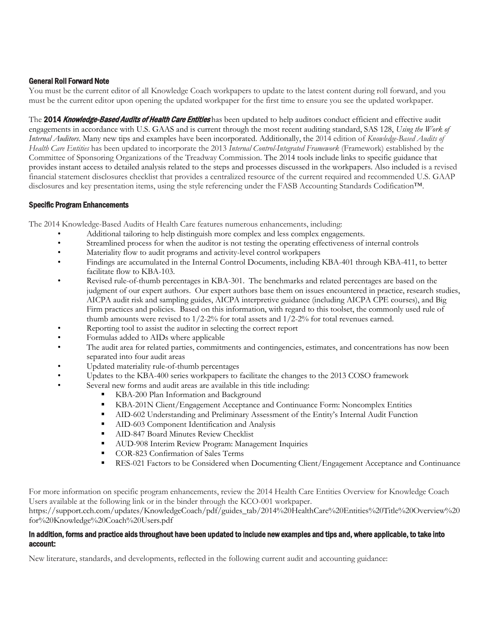#### General Roll Forward Note

You must be the current editor of all Knowledge Coach workpapers to update to the latest content during roll forward, and you must be the current editor upon opening the updated workpaper for the first time to ensure you see the updated workpaper.

The 2014 Knowledge-Based Audits of Health Care Entities has been updated to help auditors conduct efficient and effective audit engagements in accordance with U.S. GAAS and is current through the most recent auditing standard, SAS 128, *Using the Work of Internal Auditors*. Many new tips and examples have been incorporated. Additionally, the 2014 edition of *Knowledge-Based Audits of Health Care Entities* has been updated to incorporate the 2013 *Internal Control-Integrated Framework* (Framework) established by the Committee of Sponsoring Organizations of the Treadway Commission. The 2014 tools include links to specific guidance that provides instant access to detailed analysis related to the steps and processes discussed in the workpapers. Also included is a revised financial statement disclosures checklist that provides a centralized resource of the current required and recommended U.S. GAAP disclosures and key presentation items, using the style referencing under the FASB Accounting Standards Codification™.

#### Specific Program Enhancements

The 2014 Knowledge-Based Audits of Health Care features numerous enhancements, including:

- Additional tailoring to help distinguish more complex and less complex engagements.
- Streamlined process for when the auditor is not testing the operating effectiveness of internal controls
- Materiality flow to audit programs and activity-level control workpapers
- Findings are accumulated in the Internal Control Documents, including KBA-401 through KBA-411, to better facilitate flow to KBA-103.
- Revised rule-of-thumb percentages in KBA-301. The benchmarks and related percentages are based on the judgment of our expert authors. Our expert authors base them on issues encountered in practice, research studies, AICPA audit risk and sampling guides, AICPA interpretive guidance (including AICPA CPE courses), and Big Firm practices and policies. Based on this information, with regard to this toolset, the commonly used rule of thumb amounts were revised to  $1/2$ -2% for total assets and  $1/2$ -2% for total revenues earned.
- Reporting tool to assist the auditor in selecting the correct report
- Formulas added to AIDs where applicable
- The audit area for related parties, commitments and contingencies, estimates, and concentrations has now been separated into four audit areas
- Updated materiality rule-of-thumb percentages
- Updates to the KBA-400 series workpapers to facilitate the changes to the 2013 COSO framework
	- Several new forms and audit areas are available in this title including:
		- KBA-200 Plan Information and Background
		- KBA-201N Client/Engagement Acceptance and Continuance Form: Noncomplex Entities
		- AID-602 Understanding and Preliminary Assessment of the Entity's Internal Audit Function
		- **AID-603 Component Identification and Analysis**
		- **AID-847 Board Minutes Review Checklist**
		- **AUD-908 Interim Review Program: Management Inquiries**
		- COR-823 Confirmation of Sales Terms
		- **RES-021 Factors to be Considered when Documenting Client/Engagement Acceptance and Continuance**

For more information on specific program enhancements, review the 2014 Health Care Entities Overview for Knowledge Coach Users available at the following link or in the binder through the KCO-001 workpaper. https://support.cch.com/updates/KnowledgeCoach/pdf/guides\_tab/2014%20HealthCare%20Entities%20Title%20Overview%20 for%20Knowledge%20Coach%20Users.pdf

#### In addition, forms and practice aids throughout have been updated to include new examples and tips and, where applicable, to take into account:

New literature, standards, and developments, reflected in the following current audit and accounting guidance: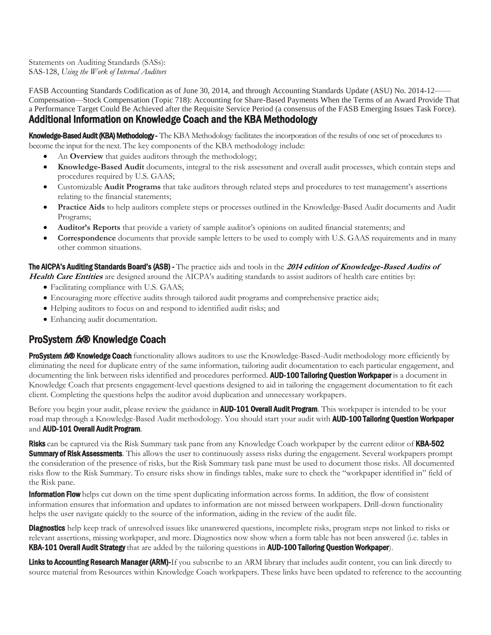Statements on Auditing Standards (SASs): SAS-128, *Using the Work of Internal Auditors*

FASB Accounting Standards Codification as of June 30, 2014, and through Accounting Standards Update (ASU) No. 2014-12—— Compensation—Stock Compensation (Topic 718): Accounting for Share-Based Payments When the Terms of an Award Provide That a Performance Target Could Be Achieved after the Requisite Service Period (a consensus of the FASB Emerging Issues Task Force).

# <span id="page-2-0"></span>Additional Information on Knowledge Coach and the KBA Methodology

Knowledge-Based Audit (KBA) Methodology - The KBA Methodology facilitates the incorporation of the results of one set of procedures to become the input for the next. The key components of the KBA methodology include:

- An **Overview** that guides auditors through the methodology;
- **Knowledge-Based Audit** documents, integral to the risk assessment and overall audit processes, which contain steps and procedures required by U.S. GAAS;
- Customizable **Audit Programs** that take auditors through related steps and procedures to test management's assertions relating to the financial statements;
- **Practice Aids** to help auditors complete steps or processes outlined in the Knowledge-Based Audit documents and Audit Programs;
- **Auditor's Reports** that provide a variety of sample auditor's opinions on audited financial statements; and
- **Correspondence** documents that provide sample letters to be used to comply with U.S. GAAS requirements and in many other common situations.

# The AICPA's Auditing Standards Board's (ASB) - The practice aids and tools in the **2014 edition of Knowledge-Based Audits of**

- **Health Care Entities** are designed around the AICPA's auditing standards to assist auditors of health care entities by: Facilitating compliance with U.S. GAAS;
	- Encouraging more effective audits through tailored audit programs and comprehensive practice aids;
	- Helping auditors to focus on and respond to identified audit risks; and
	- Enhancing audit documentation.

## ProSystem  $f_x \otimes$  Knowledge Coach

ProSystem 600 Knowledge Coach functionality allows auditors to use the Knowledge-Based-Audit methodology more efficiently by eliminating the need for duplicate entry of the same information, tailoring audit documentation to each particular engagement, and documenting the link between risks identified and procedures performed. AUD-100 Tailoring Question Workpaper is a document in Knowledge Coach that presents engagement-level questions designed to aid in tailoring the engagement documentation to fit each client. Completing the questions helps the auditor avoid duplication and unnecessary workpapers.

Before you begin your audit, please review the guidance in **AUD-101 Overall Audit Program**. This workpaper is intended to be your road map through a Knowledge-Based Audit methodology. You should start your audit with **AUD-100 Tailoring Question Workpaper** and **AUD-101 Overall Audit Program.** 

Risks can be captured via the Risk Summary task pane from any Knowledge Coach workpaper by the current editor of KBA-502 **Summary of Risk Assessments**. This allows the user to continuously assess risks during the engagement. Several workpapers prompt the consideration of the presence of risks, but the Risk Summary task pane must be used to document those risks. All documented risks flow to the Risk Summary. To ensure risks show in findings tables, make sure to check the "workpaper identified in" field of the Risk pane.

**Information Flow** helps cut down on the time spent duplicating information across forms. In addition, the flow of consistent information ensures that information and updates to information are not missed between workpapers. Drill-down functionality helps the user navigate quickly to the source of the information, aiding in the review of the audit file.

**Diagnostics** help keep track of unresolved issues like unanswered questions, incomplete risks, program steps not linked to risks or relevant assertions, missing workpaper, and more. Diagnostics now show when a form table has not been answered (i.e. tables in **KBA-101 Overall Audit Strategy** that are added by the tailoring questions in **AUD-100 Tailoring Question Workpaper**).

Links to Accounting Research Manager (ARM)-If you subscribe to an ARM library that includes audit content, you can link directly to source material from Resources within Knowledge Coach workpapers. These links have been updated to reference to the accounting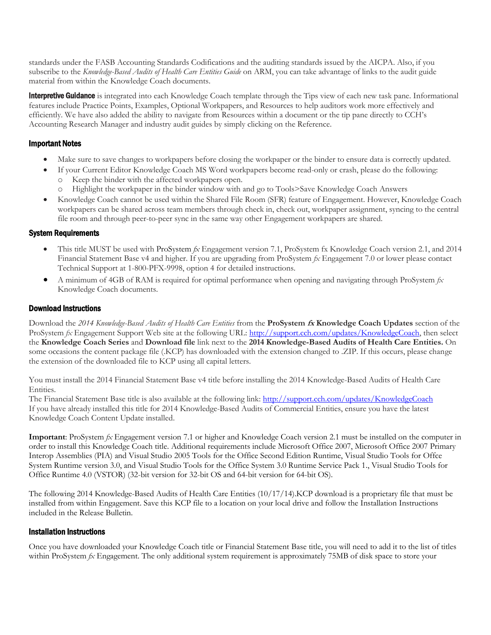standards under the FASB Accounting Standards Codifications and the auditing standards issued by the AICPA. Also, if you subscribe to the *Knowledge-Based Audits of Health Care Entities Guide* on ARM, you can take advantage of links to the audit guide material from within the Knowledge Coach documents.

**Interpretive Guidance** is integrated into each Knowledge Coach template through the Tips view of each new task pane. Informational features include Practice Points, Examples, Optional Workpapers, and Resources to help auditors work more effectively and efficiently. We have also added the ability to navigate from Resources within a document or the tip pane directly to CCH's Accounting Research Manager and industry audit guides by simply clicking on the Reference.

#### Important Notes

- Make sure to save changes to workpapers before closing the workpaper or the binder to ensure data is correctly updated.
- If your Current Editor Knowledge Coach MS Word workpapers become read-only or crash, please do the following: Keep the binder with the affected workpapers open.
	- o Highlight the workpaper in the binder window with and go to Tools>Save Knowledge Coach Answers
- Knowledge Coach cannot be used within the Shared File Room (SFR) feature of Engagement. However, Knowledge Coach workpapers can be shared across team members through check in, check out, workpaper assignment, syncing to the central file room and through peer-to-peer sync in the same way other Engagement workpapers are shared.

#### System Requirements

- This title MUST be used with ProSystem *fx* Engagement version 7.1, ProSystem fx Knowledge Coach version 2.1, and 2014 Financial Statement Base v4 and higher. If you are upgrading from ProSystem *fx* Engagement 7.0 or lower please contact Technical Support at 1-800-PFX-9998, option 4 for detailed instructions.
- A minimum of 4GB of RAM is required for optimal performance when opening and navigating through ProSystem *fx*  Knowledge Coach documents.

#### Download Instructions

Download the *2014 Knowledge-Based Audits of Health Care Entities* from the **ProSystem fx Knowledge Coach Updates** section of the ProSystem  $fx$  Engagement Support Web site at the following URL: [http://support.cch.com/updates/KnowledgeCoach,](http://support.cch.com/updates/KnowledgeCoach) then select the **Knowledge Coach Series** and **Download file** link next to the **2014 Knowledge-Based Audits of Health Care Entities.** On some occasions the content package file (.KCP) has downloaded with the extension changed to .ZIP. If this occurs, please change the extension of the downloaded file to KCP using all capital letters.

You must install the 2014 Financial Statement Base v4 title before installing the 2014 Knowledge-Based Audits of Health Care Entities.

The Financial Statement Base title is also available at the following link:<http://support.cch.com/updates/KnowledgeCoach> If you have already installed this title for 2014 Knowledge-Based Audits of Commercial Entities, ensure you have the latest Knowledge Coach Content Update installed.

**Important**: ProSystem *fx* Engagement version 7.1 or higher and Knowledge Coach version 2.1 must be installed on the computer in order to install this Knowledge Coach title. Additional requirements include Microsoft Office 2007, Microsoft Office 2007 Primary Interop Assemblies (PIA) and Visual Studio 2005 Tools for the Office Second Edition Runtime, Visual Studio Tools for Offce System Runtime version 3.0, and Visual Studio Tools for the Office System 3.0 Runtime Service Pack 1., Visual Studio Tools for Office Runtime 4.0 (VSTOR) (32-bit version for 32-bit OS and 64-bit version for 64-bit OS).

The following 2014 Knowledge-Based Audits of Health Care Entities (10/17/14).KCP download is a proprietary file that must be installed from within Engagement. Save this KCP file to a location on your local drive and follow the Installation Instructions included in the Release Bulletin.

#### Installation Instructions

Once you have downloaded your Knowledge Coach title or Financial Statement Base title, you will need to add it to the list of titles within ProSystem *fx* Engagement. The only additional system requirement is approximately 75MB of disk space to store your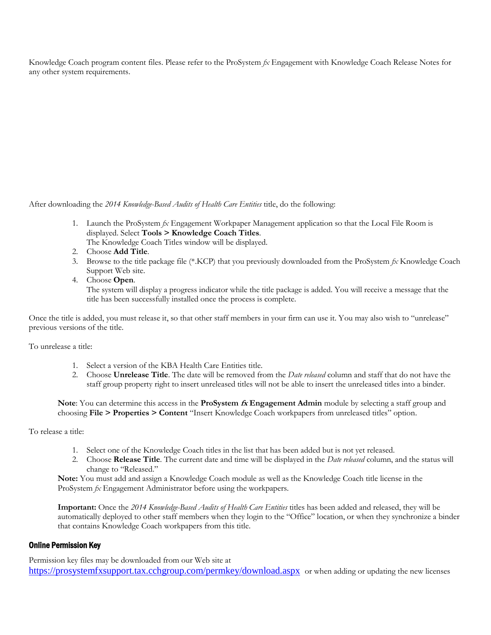Knowledge Coach program content files. Please refer to the ProSystem *fx* Engagement with Knowledge Coach Release Notes for any other system requirements.

After downloading the *2014 Knowledge-Based Audits of Health Care Entities* title, do the following:

- 1. Launch the ProSystem *fx* Engagement Workpaper Management application so that the Local File Room is displayed. Select **Tools > Knowledge Coach Titles**. The Knowledge Coach Titles window will be displayed.
- 2. Choose **Add Title**.
- 3. Browse to the title package file (\*.KCP) that you previously downloaded from the ProSystem *fx* Knowledge Coach Support Web site.
- 4. Choose **Open**.

The system will display a progress indicator while the title package is added. You will receive a message that the title has been successfully installed once the process is complete.

Once the title is added, you must release it, so that other staff members in your firm can use it. You may also wish to "unrelease" previous versions of the title.

To unrelease a title:

- 1. Select a version of the KBA Health Care Entities title.
- 2. Choose **Unrelease Title**. The date will be removed from the *Date released* column and staff that do not have the staff group property right to insert unreleased titles will not be able to insert the unreleased titles into a binder.

**Note**: You can determine this access in the **ProSystem fx Engagement Admin** module by selecting a staff group and choosing **File > Properties > Content** "Insert Knowledge Coach workpapers from unreleased titles" option.

To release a title:

- 1. Select one of the Knowledge Coach titles in the list that has been added but is not yet released.
- 2. Choose **Release Title**. The current date and time will be displayed in the *Date released* column, and the status will change to "Released."

**Note:** You must add and assign a Knowledge Coach module as well as the Knowledge Coach title license in the ProSystem *fx* Engagement Administrator before using the workpapers.

**Important:** Once the *2014 Knowledge-Based Audits of Health Care Entities* titles has been added and released, they will be automatically deployed to other staff members when they login to the "Office" location, or when they synchronize a binder that contains Knowledge Coach workpapers from this title.

#### Online Permission Key

Permission key files may be downloaded from our Web site at <https://prosystemfxsupport.tax.cchgroup.com/permkey/download.aspx> or when adding or updating the new licenses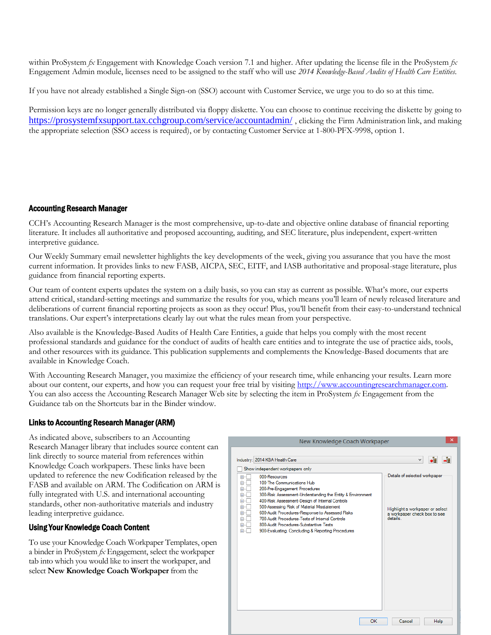within ProSystem *fx* Engagement with Knowledge Coach version 7.1 and higher. After updating the license file in the ProSystem *fx*  Engagement Admin module, licenses need to be assigned to the staff who will use *2014 Knowledge-Based Audits of Health Care Entities*.

If you have not already established a Single Sign-on (SSO) account with Customer Service, we urge you to do so at this time.

Permission keys are no longer generally distributed via floppy diskette. You can choose to continue receiving the diskette by going to <https://prosystemfxsupport.tax.cchgroup.com/service/accountadmin/> , clicking the Firm Administration link, and making the appropriate selection (SSO access is required), or by contacting Customer Service at 1-800-PFX-9998, option 1.

#### Accounting Research Manager

CCH's Accounting Research Manager is the most comprehensive, up-to-date and objective online database of financial reporting literature. It includes all authoritative and proposed accounting, auditing, and SEC literature, plus independent, expert-written interpretive guidance.

Our Weekly Summary email newsletter highlights the key developments of the week, giving you assurance that you have the most current information. It provides links to new FASB, AICPA, SEC, EITF, and IASB authoritative and proposal-stage literature, plus guidance from financial reporting experts.

Our team of content experts updates the system on a daily basis, so you can stay as current as possible. What's more, our experts attend critical, standard-setting meetings and summarize the results for you, which means you'll learn of newly released literature and deliberations of current financial reporting projects as soon as they occur! Plus, you'll benefit from their easy-to-understand technical translations. Our expert's interpretations clearly lay out what the rules mean from your perspective.

Also available is the Knowledge-Based Audits of Health Care Entities, a guide that helps you comply with the most recent professional standards and guidance for the conduct of audits of health care entities and to integrate the use of practice aids, tools, and other resources with its guidance. This publication supplements and complements the Knowledge-Based documents that are available in Knowledge Coach.

With Accounting Research Manager, you maximize the efficiency of your research time, while enhancing your results. Learn more about our content, our experts, and how you can request your free trial by visitin[g http://www.accountingresearchmanager.com.](http://www.accountingresearchmanager.com/)  You can also access the Accounting Research Manager Web site by selecting the item in ProSystem *fx* Engagement from the Guidance tab on the Shortcuts bar in the Binder window.

#### Links to Accounting Research Manager (ARM)

As indicated above, subscribers to an Accounting Research Manager library that includes source content can link directly to source material from references within Knowledge Coach workpapers. These links have been updated to reference the new Codification released by the FASB and available on ARM. The Codification on ARM is fully integrated with U.S. and international accounting standards, other non-authoritative materials and industry leading interpretive guidance.

#### Using Your Knowledge Coach Content

To use your Knowledge Coach Workpaper Templates, open a binder in ProSystem *fx* Engagement, select the workpaper tab into which you would like to insert the workpaper, and select **New Knowledge Coach Workpaper** from the

| ×<br>New Knowledge Coach Workpaper                                                                                                                                                                                                                                                                                                                                                                                                                                                                                                                                                       |                                                                                                                              |  |
|------------------------------------------------------------------------------------------------------------------------------------------------------------------------------------------------------------------------------------------------------------------------------------------------------------------------------------------------------------------------------------------------------------------------------------------------------------------------------------------------------------------------------------------------------------------------------------------|------------------------------------------------------------------------------------------------------------------------------|--|
| Industry: 2014 KBA Health Care<br>Show independent workpapers only<br>000-Resources<br>$\overline{+}$<br>100-The Communications Hub<br>œ.<br>200-Pre-Engagement Procedures<br>审<br>300-Risk Assessment-Understanding the Entity & Environment<br>庙<br>亩<br>400-Risk Assessment-Design of Internal Controls<br>500-Assessing Risk of Material Misstatement<br>庙<br>600-Audit Procedures-Response to Assessed Risks<br>审<br>700-Audit Procedures-Tests of Internal Controls<br>庙<br>800-Audit Procedures-Substantive Tests<br>由。<br>亩<br>900-Evaluating, Concluding & Reporting Procedures | ۰ŧ<br>-1<br>v<br>Details of selected workpaper<br>Highlight a workpaper or select<br>a workpaper check box to see<br>details |  |
| OK                                                                                                                                                                                                                                                                                                                                                                                                                                                                                                                                                                                       | Cancel<br>Help                                                                                                               |  |